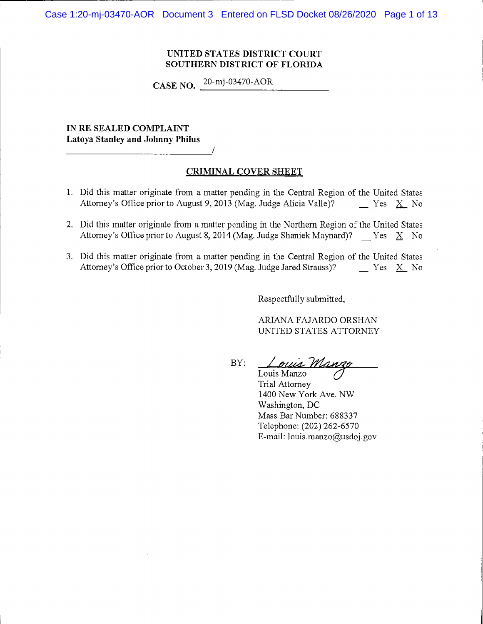Case 1:20-mj-03470-AOR Document 3 Entered on FLSD Docket 08/26/2020 Page 1 of 13

# UNITED STATES DISTRICT COURT SOUTHERN DISTRICT OF FLORIDA

**CASE NO.**  $^{20-mj-03470\text{-}AOR}$ 

IN RE SEALED COMPLAINT **Latoya Stanley and Johnny Philus** 

# **CRIMINAL COVER SHEET**

- 1. Did this matter originate from a matter pending in the Central Region of the United States Attorney's Office prior to August 9, 2013 (Mag. Judge Alicia Valle)?  $Yes \ X$  No
- 2. Did this matter originate from a matter pending in the Northern Region of the United States Attorney's Office prior to August 8, 2014 (Mag. Judge Shaniek Maynard)?  $Yes X No$
- 3. Did this matter originate from a matter pending in the Central Region of the United States Attorney's Office prior to October 3, 2019 (Mag. Judge Jared Strauss)?  $Yes \ X$  No

Respectfully submitted,

ARIANA FAJARDO ORSHAN UNITED STATES ATTORNEY

BY:

ouis Manzo Louis Manzo

Trial Attorney 1400 New York Ave. NW Washington, DC Mass Bar Number: 688337 Telephone: (202) 262-6570 E-mail: louis.manzo@usdoj.gov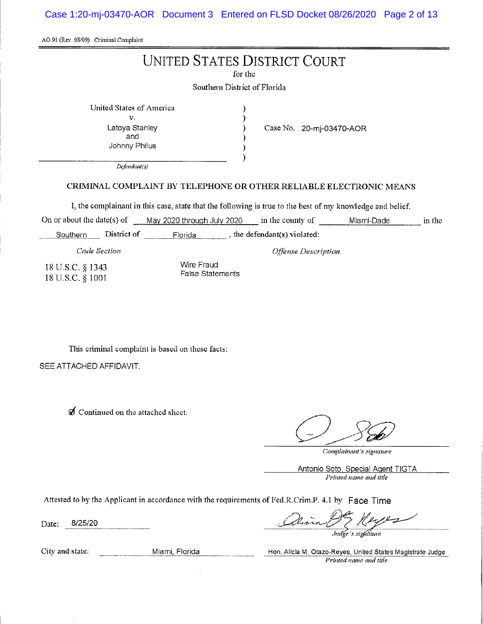Case 1:20-mj-03470-AOR Document 3 Entered on FLSD Docket 08/26/2020 Page 2 of 13

AO 91 (Rev. 08/09) Criminal Complaint

# **UNITED STATES DISTRICT COURT**

for the

Southern District of Florida

 $\mathcal{E}$ 

 $\lambda$ 

<sup>1</sup>

United States of America  $\mathbf{V}$ . Latoya Stanley and

Johnny Philus

Case No. 20-mj-03470-AOR

Offense Description

Defendant(s)

# CRIMINAL COMPLAINT BY TELEPHONE OR OTHER RELIABLE ELECTRONIC MEANS

I, the complainant in this case, state that the following is true to the best of my knowledge and belief.

On or about the date(s) of May 2020 through July 2020 in the county of Miami-Dade in the

Southern District of Florida , the defendant(s) violated:

Code Section

18 U.S.C. § 1343 18 U.S.C. § 1001

Wire Fraud **False Statements** 

This criminal complaint is based on these facts:

SEE ATTACHED AFFIDAVIT.

 $\mathcal J$  Continued on the attached sheet.

Complainant's signature

Antonio Soto, Special Agent TIGTA Printed name and title

Attested to by the Applicant in accordance with the requirements of Fed.R.Crim.P. 4.1 by Face Time

8/25/20 Date:

City and state: Miami, Florida **Miami** 

Indge's sightnure

Hon. Alicla M. Otazo-Reyes, United States Magistrate Judge Printed name and title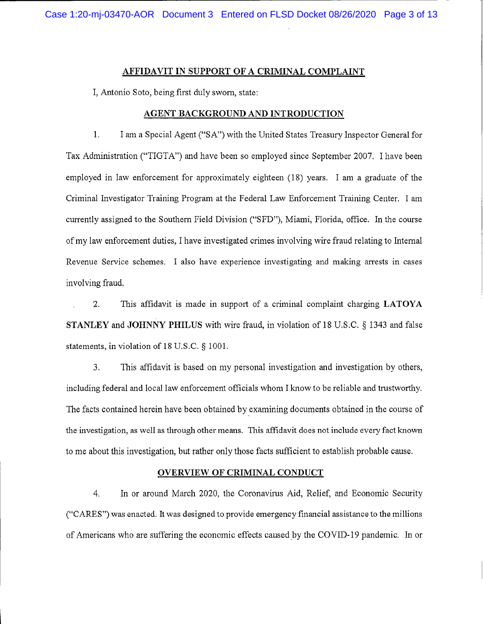## **AFFIDAVIT IN SUPPORT OF A CRIMINAL COMPLAINT**

I, Antonio Soto, being first duly sworn, state:

## AGENT BACKGROUND AND INTRODUCTION

 $1.$ I am a Special Agent ("SA") with the United States Treasury Inspector General for Tax Administration ("TIGTA") and have been so employed since September 2007. I have been employed in law enforcement for approximately eighteen (18) years. I am a graduate of the Criminal Investigator Training Program at the Federal Law Enforcement Training Center. I am currently assigned to the Southern Field Division ("SFD"), Miami, Florida, office. In the course of my law enforcement duties, I have investigated crimes involving wire fraud relating to Internal Revenue Service schemes. I also have experience investigating and making arrests in cases involving fraud.

 $2.$ This affidavit is made in support of a criminal complaint charging LATOYA STANLEY and JOHNNY PHILUS with wire fraud, in violation of 18 U.S.C. § 1343 and false statements, in violation of 18 U.S.C. § 1001.

3. This affidavit is based on my personal investigation and investigation by others, including federal and local law enforcement officials whom I know to be reliable and trustworthy. The facts contained herein have been obtained by examining documents obtained in the course of the investigation, as well as through other means. This affidavit does not include every fact known to me about this investigation, but rather only those facts sufficient to establish probable cause.

# **OVERVIEW OF CRIMINAL CONDUCT**

 $4.$ In or around March 2020, the Coronavirus Aid, Relief, and Economic Security ("CARES") was enacted. It was designed to provide emergency financial assistance to the millions of Americans who are suffering the economic effects caused by the COVID-19 pandemic. In or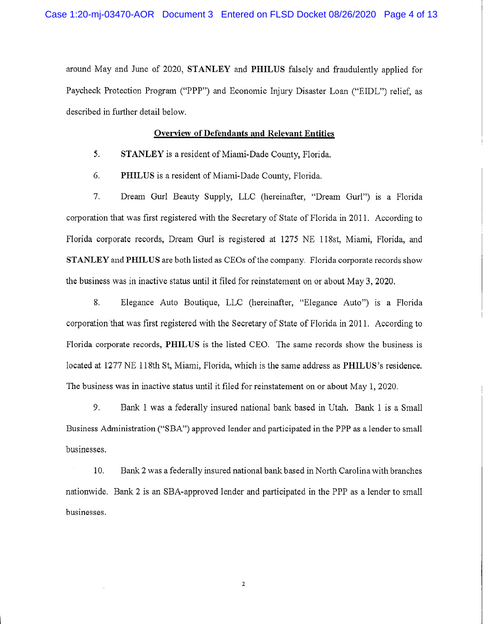around May and June of 2020, STANLEY and PHILUS falsely and fraudulently applied for Paycheck Protection Program ("PPP") and Economic Injury Disaster Loan ("EIDL") relief, as described in further detail below.

#### Overview of Defendants and Relevant Entities

- 5. STANLEY is a resident of Miami-Dade County, Florida.
- 6. PHILUS is a resident of Miami-Dade County, Florida.

7. Dream Gurl Beauty Supply, LLC (hereinafter, "Dream Gurl") is a Florida corporation that was first registered with the Secretary of State of Florida in 2011. According to Florida corporate records, Dream Gurl is registered at 1275 NE 118st, Miami, Florida, and STANLEY and PHILUS are both listed as CEOs of the company. Florida corporate records show the business was in inactive status until it filed for reinstatement on or about May 3, 2020.

8. Elegance Auto Boutique, LLC (hereinafter, "Elegance Auto") is a Florida corporation that was first registered with the Secretary of State of Florida in 2011. According to Florida corporate records, PHILUS is the listed CEO. The same records show the business is located at 1277 NE 118th St, Miami, Florida, which is the same address as PHILUS's residence. The business was in inactive status until it filed for reinstatement on or about May 1, 2020.

9. Bank 1 was a federally insured national bank based in Utah. Bank 1 is a Small Business Administration ("SBA") approved lender and participated in the PPP as a lender to small businesses.

 $10.$ Bank 2 was a federally insured national bank based in North Carolina with branches nationwide. Bank 2 is an SBA-approved lender and participated in the PPP as a lender to small businesses.

2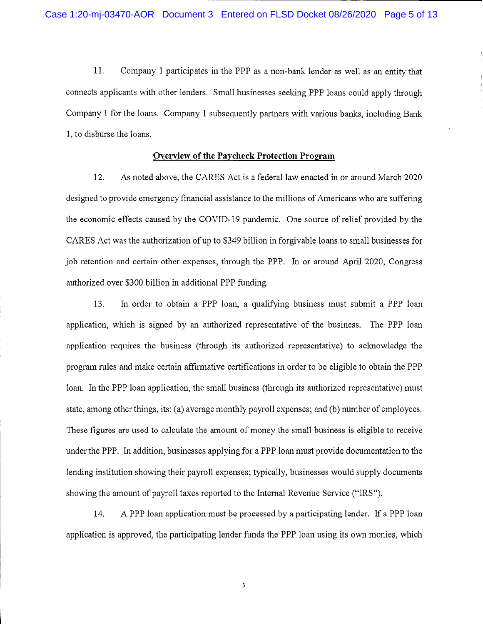11. Company 1 participates in the PPP as a non-bank lender as well as an entity that connects applicants with other lenders. Small businesses seeking PPP loans could apply through Company 1 for the loans. Company 1 subsequently partners with various banks, including Bank 1, to disburse the loans.

## **Overview of the Paycheck Protection Program**

12. As noted above, the CARES Act is a federal law enacted in or around March 2020 designed to provide emergency financial assistance to the millions of Americans who are suffering the economic effects caused by the COVID-19 pandemic. One source of relief provided by the CARES Act was the authorization of up to \$349 billion in forgivable loans to small businesses for job retention and certain other expenses, through the PPP. In or around April 2020, Congress authorized over \$300 billion in additional PPP funding.

In order to obtain a PPP loan, a qualifying business must submit a PPP loan 13. application, which is signed by an authorized representative of the business. The PPP loan application requires the business (through its authorized representative) to acknowledge the program rules and make certain affirmative certifications in order to be eligible to obtain the PPP loan. In the PPP loan application, the small business (through its authorized representative) must state, among other things, its: (a) average monthly payroll expenses; and (b) number of employees. These figures are used to calculate the amount of money the small business is eligible to receive under the PPP. In addition, businesses applying for a PPP loan must provide documentation to the lending institution showing their payroll expenses; typically, businesses would supply documents showing the amount of payroll taxes reported to the Internal Revenue Service ("IRS").

14. A PPP loan application must be processed by a participating lender. If a PPP loan application is approved, the participating lender funds the PPP loan using its own monies, which

 $\overline{\mathbf{3}}$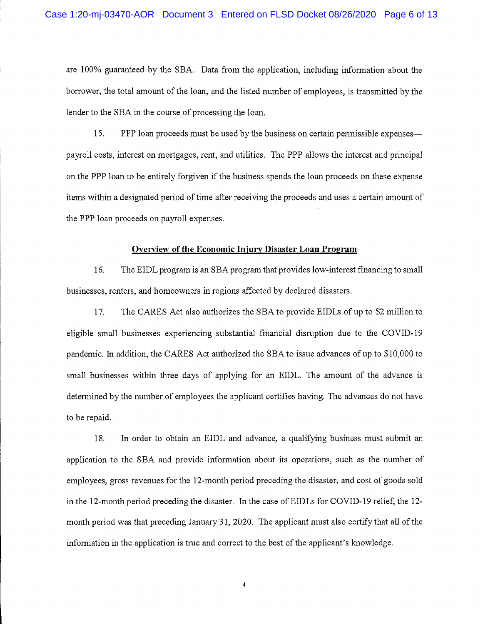are 100% guaranteed by the SBA. Data from the application, including information about the borrower, the total amount of the loan, and the listed number of employees, is transmitted by the lender to the SBA in the course of processing the loan.

15. PPP loan proceeds must be used by the business on certain permissible expenses payroll costs, interest on mortgages, rent, and utilities. The PPP allows the interest and principal on the PPP loan to be entirely forgiven if the business spends the loan proceeds on these expense items within a designated period of time after receiving the proceeds and uses a certain amount of the PPP loan proceeds on payroll expenses.

#### Overview of the Economic Injury Disaster Loan Program

16. The EIDL program is an SBA program that provides low-interest financing to small businesses, renters, and homeowners in regions affected by declared disasters.

17. The CARES Act also authorizes the SBA to provide EIDLs of up to \$2 million to eligible small businesses experiencing substantial financial disruption due to the COVID-19 pandemic. In addition, the CARES Act authorized the SBA to issue advances of up to \$10,000 to small businesses within three days of applying for an EIDL. The amount of the advance is determined by the number of employees the applicant certifies having. The advances do not have to be repaid.

18. In order to obtain an EIDL and advance, a qualifying business must submit an application to the SBA and provide information about its operations, such as the number of employees, gross revenues for the 12-month period preceding the disaster, and cost of goods sold in the 12-month period preceding the disaster. In the case of EIDLs for COVID-19 relief, the 12month period was that preceding January 31, 2020. The applicant must also certify that all of the information in the application is true and correct to the best of the applicant's knowledge.

 $\overline{4}$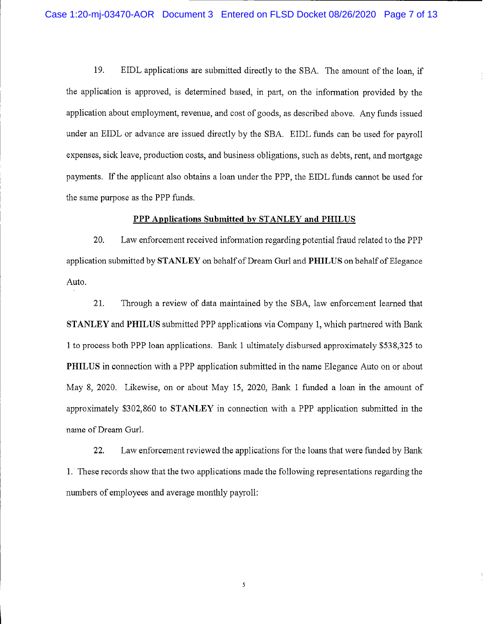19. EIDL applications are submitted directly to the SBA. The amount of the loan, if the application is approved, is determined based, in part, on the information provided by the application about employment, revenue, and cost of goods, as described above. Any funds issued under an EIDL or advance are issued directly by the SBA. EIDL funds can be used for payroll expenses, sick leave, production costs, and business obligations, such as debts, rent, and mortgage payments. If the applicant also obtains a loan under the PPP, the EIDL funds cannot be used for the same purpose as the PPP funds.

## PPP Applications Submitted by STANLEY and PHILUS

20. Law enforcement received information regarding potential fraud related to the PPP application submitted by STANLEY on behalf of Dream Gurl and PHILUS on behalf of Elegance Auto.

21. Through a review of data maintained by the SBA, law enforcement learned that **STANLEY** and PHILUS submitted PPP applications via Company 1, which partnered with Bank 1 to process both PPP loan applications. Bank 1 ultimately disbursed approximately \$538,325 to **PHILUS** in connection with a PPP application submitted in the name Elegance Auto on or about May 8, 2020. Likewise, on or about May 15, 2020, Bank 1 funded a loan in the amount of approximately \$302,860 to STANLEY in connection with a PPP application submitted in the name of Dream Gurl.

22. Law enforcement reviewed the applications for the loans that were funded by Bank 1. These records show that the two applications made the following representations regarding the numbers of employees and average monthly payroll:

 $\sqrt{2}$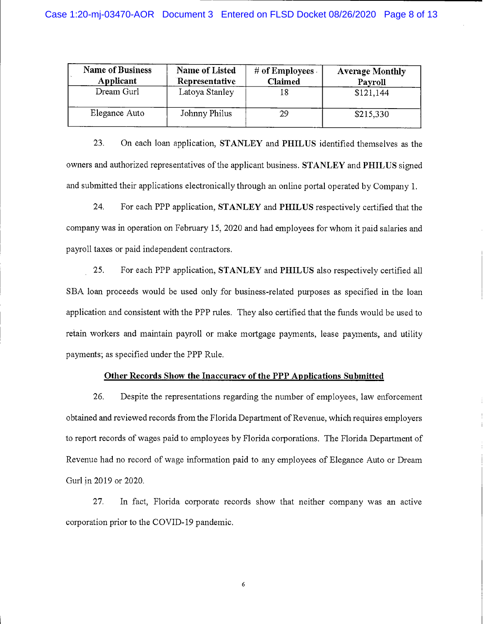| <b>Name of Business</b><br>Applicant | <b>Name of Listed</b><br>Representative | # of Employees<br><b>Claimed</b> | <b>Average Monthly</b><br>Payroll |
|--------------------------------------|-----------------------------------------|----------------------------------|-----------------------------------|
| Dream Gurl                           | Latoya Stanley                          | 18                               | \$121,144                         |
| Elegance Auto                        | Johnny Philus                           | 29                               | \$215,330                         |

23. On each loan application, STANLEY and PHILUS identified themselves as the owners and authorized representatives of the applicant business. STANLEY and PHILUS signed and submitted their applications electronically through an online portal operated by Company 1.

24. For each PPP application, STANLEY and PHILUS respectively certified that the company was in operation on February 15, 2020 and had employees for whom it paid salaries and payroll taxes or paid independent contractors.

25. For each PPP application, STANLEY and PHILUS also respectively certified all SBA loan proceeds would be used only for business-related purposes as specified in the loan application and consistent with the PPP rules. They also certified that the funds would be used to retain workers and maintain payroll or make mortgage payments, lease payments, and utility payments; as specified under the PPP Rule.

# Other Records Show the Inaccuracy of the PPP Applications Submitted

26. Despite the representations regarding the number of employees, law enforcement obtained and reviewed records from the Florida Department of Revenue, which requires employers to report records of wages paid to employees by Florida corporations. The Florida Department of Revenue had no record of wage information paid to any employees of Elegance Auto or Dream Gurl in 2019 or 2020.

27. In fact, Florida corporate records show that neither company was an active corporation prior to the COVID-19 pandemic.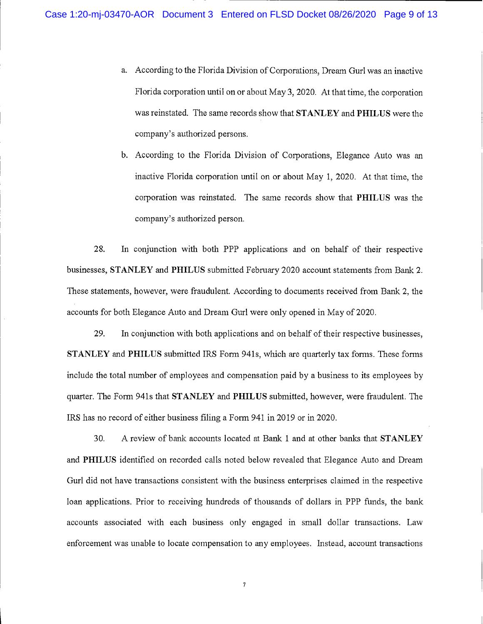a. According to the Florida Division of Corporations, Dream Gurl was an inactive Florida corporation until on or about May 3, 2020. At that time, the corporation was reinstated. The same records show that STANLEY and PHILUS were the company's authorized persons.

b. According to the Florida Division of Corporations, Elegance Auto was an inactive Florida corporation until on or about May 1, 2020. At that time, the corporation was reinstated. The same records show that PHILUS was the company's authorized person.

28. In conjunction with both PPP applications and on behalf of their respective businesses, STANLEY and PHILUS submitted February 2020 account statements from Bank 2. These statements, however, were fraudulent. According to documents received from Bank 2, the accounts for both Elegance Auto and Dream Gurl were only opened in May of 2020.

29. In conjunction with both applications and on behalf of their respective businesses, **STANLEY** and PHILUS submitted IRS Form 941s, which are quarterly tax forms. These forms include the total number of employees and compensation paid by a business to its employees by quarter. The Form 941s that STANLEY and PHILUS submitted, however, were fraudulent. The IRS has no record of either business filing a Form 941 in 2019 or in 2020.

30. A review of bank accounts located at Bank 1 and at other banks that STANLEY and PHILUS identified on recorded calls noted below revealed that Elegance Auto and Dream Gurl did not have transactions consistent with the business enterprises claimed in the respective loan applications. Prior to receiving hundreds of thousands of dollars in PPP funds, the bank accounts associated with each business only engaged in small dollar transactions. Law enforcement was unable to locate compensation to any employees. Instead, account transactions

 $\overline{7}$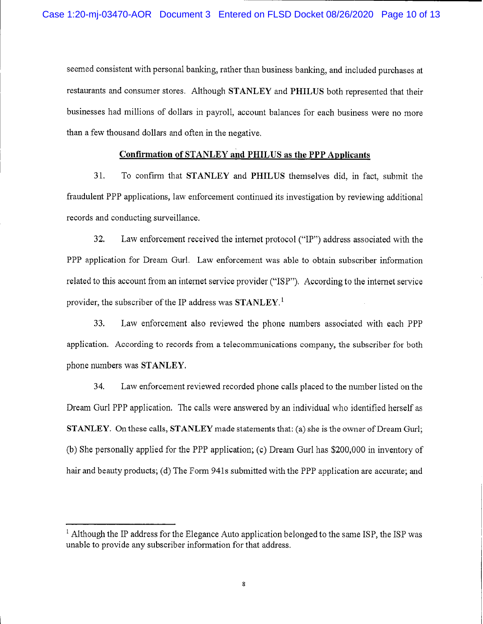seemed consistent with personal banking, rather than business banking, and included purchases at restaurants and consumer stores. Although STANLEY and PHILUS both represented that their businesses had millions of dollars in payroll, account balances for each business were no more than a few thousand dollars and often in the negative.

#### **Confirmation of STANLEY and PHILUS as the PPP Applicants**

 $31.$ To confirm that STANLEY and PHILUS themselves did, in fact, submit the fraudulent PPP applications, law enforcement continued its investigation by reviewing additional records and conducting surveillance.

32. Law enforcement received the internet protocol ("IP") address associated with the PPP application for Dream Gurl. Law enforcement was able to obtain subscriber information related to this account from an internet service provider ("ISP"). According to the internet service provider, the subscriber of the IP address was  $STANLEY<sup>1</sup>$ .

33. Law enforcement also reviewed the phone numbers associated with each PPP application. According to records from a telecommunications company, the subscriber for both phone numbers was STANLEY.

34. Law enforcement reviewed recorded phone calls placed to the number listed on the Dream Gurl PPP application. The calls were answered by an individual who identified herself as STANLEY. On these calls, STANLEY made statements that: (a) she is the owner of Dream Gurl; (b) She personally applied for the PPP application; (c) Dream Gurl has \$200,000 in inventory of hair and beauty products; (d) The Form 941s submitted with the PPP application are accurate; and

<sup>&</sup>lt;sup>1</sup> Although the IP address for the Elegance Auto application belonged to the same ISP, the ISP was unable to provide any subscriber information for that address.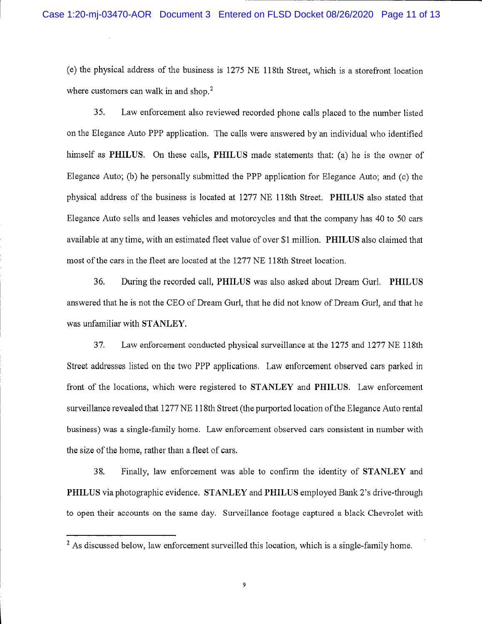(e) the physical address of the business is 1275 NE 118th Street, which is a storefront location where customers can walk in and shop.<sup>2</sup>

Law enforcement also reviewed recorded phone calls placed to the number listed 35. on the Elegance Auto PPP application. The calls were answered by an individual who identified himself as PHILUS. On these calls, PHILUS made statements that: (a) he is the owner of Elegance Auto; (b) he personally submitted the PPP application for Elegance Auto; and (c) the physical address of the business is located at 1277 NE 118th Street. PHILUS also stated that Elegance Auto sells and leases vehicles and motorcycles and that the company has 40 to 50 cars available at any time, with an estimated fleet value of over \$1 million. PHILUS also claimed that most of the cars in the fleet are located at the 1277 NE 118th Street location.

36. During the recorded call, PHILUS was also asked about Dream Gurl. PHILUS answered that he is not the CEO of Dream Gurl, that he did not know of Dream Gurl, and that he was unfamiliar with STANLEY.

37. Law enforcement conducted physical surveillance at the 1275 and 1277 NE 118th Street addresses listed on the two PPP applications. Law enforcement observed cars parked in front of the locations, which were registered to STANLEY and PHILUS. Law enforcement surveillance revealed that 1277 NE 118th Street (the purported location of the Elegance Auto rental business) was a single-family home. Law enforcement observed cars consistent in number with the size of the home, rather than a fleet of cars.

38. Finally, law enforcement was able to confirm the identity of STANLEY and PHILUS via photographic evidence. STANLEY and PHILUS employed Bank 2's drive-through to open their accounts on the same day. Surveillance footage captured a black Chevrolet with

 $2$  As discussed below, law enforcement surveilled this location, which is a single-family home.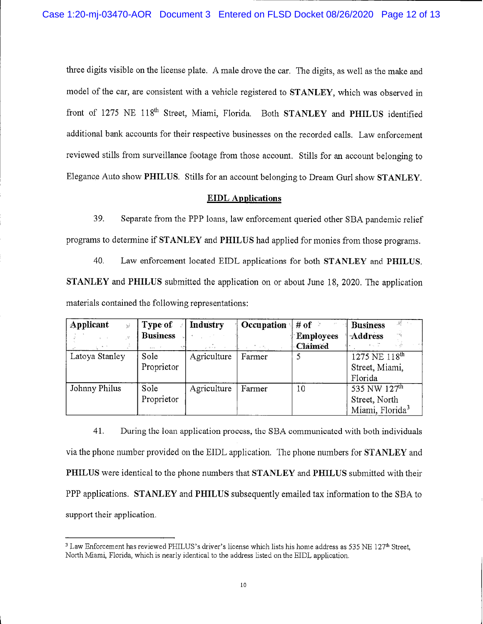three digits visible on the license plate. A male drove the car. The digits, as well as the make and model of the car, are consistent with a vehicle registered to STANLEY, which was observed in front of 1275 NE 118<sup>th</sup> Street, Miami, Florida. Both STANLEY and PHILUS identified additional bank accounts for their respective businesses on the recorded calls. Law enforcement reviewed stills from surveillance footage from those account. Stills for an account belonging to Elegance Auto show PHILUS. Stills for an account belonging to Dream Gurl show STANLEY.

#### **EIDL** Applications

39. Separate from the PPP loans, law enforcement queried other SBA pandemic relief programs to determine if STANLEY and PHILUS had applied for monies from those programs.

40. Law enforcement located EIDL applications for both STANLEY and PHILUS. STANLEY and PHILUS submitted the application on or about June 18, 2020. The application materials contained the following representations:

| Applicant<br>$\frac{1}{2} \sum_{i=1}^{\infty}$ | Type of            | <b>Industry</b> | Occupation $\frac{1}{2}$ # of |                  | $\mathscr{H} \hookrightarrow$ .<br><b>Business</b> |
|------------------------------------------------|--------------------|-----------------|-------------------------------|------------------|----------------------------------------------------|
|                                                | <b>Business</b>    |                 |                               | <b>Employees</b> | <b>Address</b>                                     |
| $\mathbf{q}_i = 0$                             | $n \times n$ . $n$ | المنافي         | Service Property              | <b>Claimed</b>   | $x = -\frac{2\pi}{2}$                              |
| Latoya Stanley                                 | Sole               | Agriculture     | Farmer                        |                  | 1275 NE 118 <sup>th</sup>                          |
|                                                | Proprietor         |                 |                               |                  | Street, Miami,                                     |
|                                                |                    |                 |                               |                  | Florida                                            |
| Johnny Philus                                  | Sole               | Agriculture     | Farmer                        | 10               | 535 NW 127 <sup>th</sup>                           |
|                                                | Proprietor         |                 |                               |                  | Street, North                                      |
|                                                |                    |                 |                               |                  | Miami, Florida <sup>3</sup>                        |

41. During the loan application process, the SBA communicated with both individuals via the phone number provided on the EIDL application. The phone numbers for STANLEY and PHILUS were identical to the phone numbers that STANLEY and PHILUS submitted with their PPP applications. STANLEY and PHILUS subsequently emailed tax information to the SBA to support their application.

<sup>&</sup>lt;sup>3</sup> Law Enforcement has reviewed PHILUS's driver's license which lists his home address as 535 NE 127<sup>th</sup> Street, North Miami, Florida, which is nearly identical to the address listed on the EIDL application.